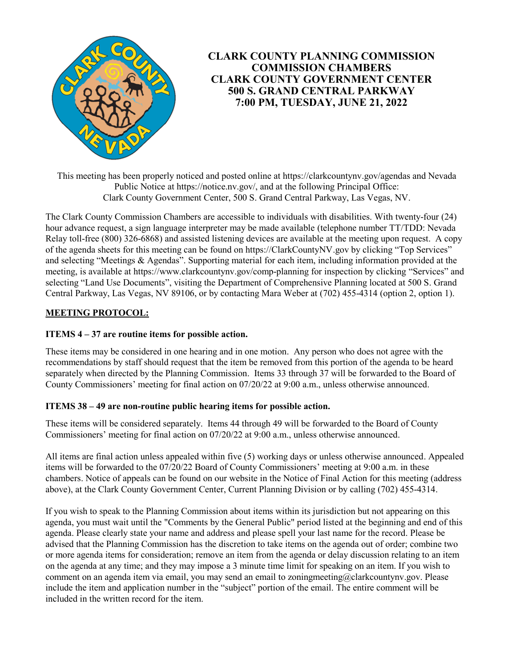

# **CLARK COUNTY PLANNING COMMISSION COMMISSION CHAMBERS CLARK COUNTY GOVERNMENT CENTER 500 S. GRAND CENTRAL PARKWAY 7:00 PM, TUESDAY, JUNE 21, 2022**

This meeting has been properly noticed and posted online at https://clarkcountynv.gov/agendas and Nevada Public Notice at https://notice.nv.gov/, and at the following Principal Office: Clark County Government Center, 500 S. Grand Central Parkway, Las Vegas, NV.

The Clark County Commission Chambers are accessible to individuals with disabilities. With twenty-four (24) hour advance request, a sign language interpreter may be made available (telephone number TT/TDD: Nevada Relay toll-free (800) 326-6868) and assisted listening devices are available at the meeting upon request. A copy of the agenda sheets for this meeting can be found on https://ClarkCountyNV.gov by clicking "Top Services" and selecting "Meetings & Agendas". Supporting material for each item, including information provided at the meeting, is available at https://www.clarkcountynv.gov/comp-planning for inspection by clicking "Services" and selecting "Land Use Documents", visiting the Department of Comprehensive Planning located at 500 S. Grand Central Parkway, Las Vegas, NV 89106, or by contacting Mara Weber at (702) 455-4314 (option 2, option 1).

## **MEETING PROTOCOL:**

## **ITEMS 4 – 37 are routine items for possible action.**

These items may be considered in one hearing and in one motion. Any person who does not agree with the recommendations by staff should request that the item be removed from this portion of the agenda to be heard separately when directed by the Planning Commission. Items 33 through 37 will be forwarded to the Board of County Commissioners' meeting for final action on 07/20/22 at 9:00 a.m., unless otherwise announced.

### **ITEMS 38 – 49 are non-routine public hearing items for possible action.**

These items will be considered separately. Items 44 through 49 will be forwarded to the Board of County Commissioners' meeting for final action on 07/20/22 at 9:00 a.m., unless otherwise announced.

All items are final action unless appealed within five (5) working days or unless otherwise announced. Appealed items will be forwarded to the 07/20/22 Board of County Commissioners' meeting at 9:00 a.m. in these chambers. Notice of appeals can be found on our website in the Notice of Final Action for this meeting (address above), at the Clark County Government Center, Current Planning Division or by calling (702) 455-4314.

If you wish to speak to the Planning Commission about items within its jurisdiction but not appearing on this agenda, you must wait until the "Comments by the General Public" period listed at the beginning and end of this agenda. Please clearly state your name and address and please spell your last name for the record. Please be advised that the Planning Commission has the discretion to take items on the agenda out of order; combine two or more agenda items for consideration; remove an item from the agenda or delay discussion relating to an item on the agenda at any time; and they may impose a 3 minute time limit for speaking on an item. If you wish to comment on an agenda item via email, you may send an email to zoningmeeting@clarkcountynv.gov. Please include the item and application number in the "subject" portion of the email. The entire comment will be included in the written record for the item.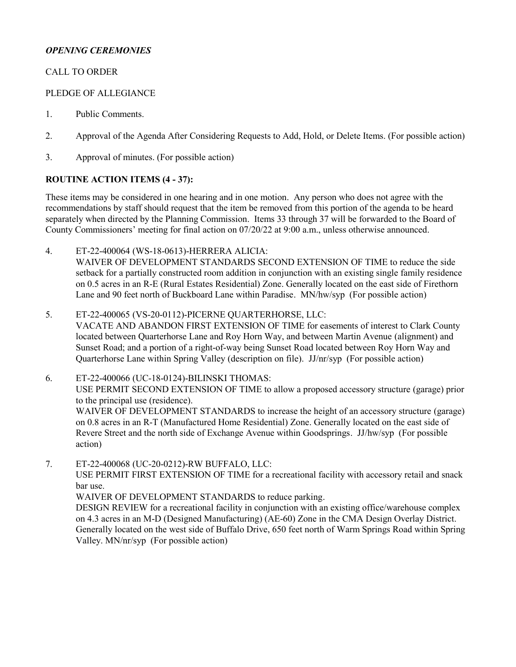## *OPENING CEREMONIES*

## CALL TO ORDER

### PLEDGE OF ALLEGIANCE

- 1. [Public Comments.](http://clark.legistar.com/gateway.aspx?m=l&id=/matter.aspx?key=9153)
- 2. [Approval of the Agenda After Considering Requests to Add, Hold, or Delete Items. \(For possible action\)](http://clark.legistar.com/gateway.aspx?m=l&id=/matter.aspx?key=9154)
- 3. [Approval of minutes. \(For possible action\)](http://clark.legistar.com/gateway.aspx?m=l&id=/matter.aspx?key=9155)

### **ROUTINE ACTION ITEMS (4 - 37):**

These items may be considered in one hearing and in one motion. Any person who does not agree with the recommendations by staff should request that the item be removed from this portion of the agenda to be heard separately when directed by the Planning Commission. Items 33 through 37 will be forwarded to the Board of County Commissioners' meeting for final action on 07/20/22 at 9:00 a.m., unless otherwise announced.

4. ET-22-400064 (WS-18-0613)-HERRERA ALICIA:

WAIVER OF DEVELOPMENT STANDARDS SECOND EXTENSION OF TIME to reduce the side [setback for a partially constructed room addition in conjunction with an existing single family residence](http://clark.legistar.com/gateway.aspx?m=l&id=/matter.aspx?key=9107)  on 0.5 acres in an R-E (Rural Estates Residential) Zone. Generally located on the east side of Firethorn Lane and 90 feet north of Buckboard Lane within Paradise. MN/hw/syp (For possible action)

5. ET-22-400065 (VS-20-0112)-PICERNE QUARTERHORSE, LLC:

[VACATE AND ABANDON FIRST EXTENSION OF TIME for easements of interest to Clark County](http://clark.legistar.com/gateway.aspx?m=l&id=/matter.aspx?key=9108)  located between Quarterhorse Lane and Roy Horn Way, and between Martin Avenue (alignment) and Sunset Road; and a portion of a right-of-way being Sunset Road located between Roy Horn Way and Quarterhorse Lane within Spring Valley (description on file). JJ/nr/syp (For possible action)

6. ET-22-400066 (UC-18-0124)-BILINSKI THOMAS: USE PERMIT SECOND EXTENSION OF TIME to allow a proposed accessory structure (garage) prior to the principal use (residence). WAIVER OF DEVELOPMENT STANDARDS to increase the height of an accessory structure (garage) on 0.8 acres in an R-T (Manufactured Home Residential) Zone. Generally located on the east side of Revere Street and the north side of Exchange Avenue within Goodsprings. JJ/hw/syp (For possible action)

7. ET-22-400068 (UC-20-0212)-RW BUFFALO, LLC:

USE PERMIT FIRST EXTENSION OF TIME for a recreational facility with accessory retail and snack bar use.

WAIVER OF DEVELOPMENT STANDARDS to reduce parking.

DESIGN REVIEW for a recreational facility in conjunction with an existing office/warehouse complex on 4.3 acres in an M-D (Designed Manufacturing) (AE-60) Zone in the CMA Design Overlay District. [Generally located on the west side of Buffalo Drive, 650 feet north of Warm Springs Road within Spring](http://clark.legistar.com/gateway.aspx?m=l&id=/matter.aspx?key=9110)  Valley. MN/nr/syp (For possible action)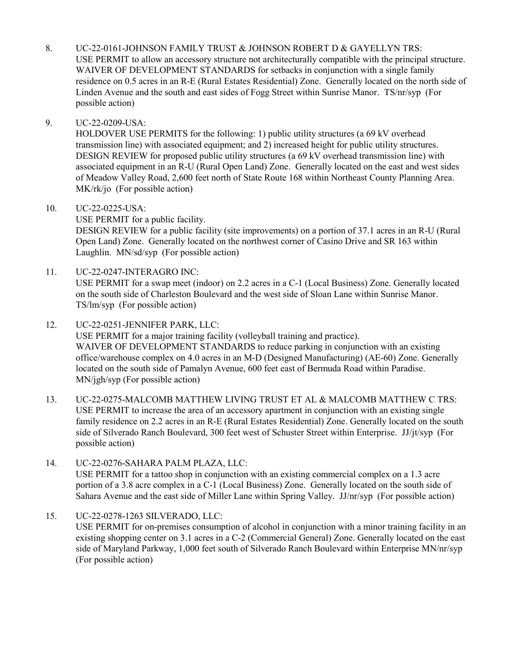8. UC-22-0161-JOHNSON FAMILY TRUST & JOHNSON ROBERT D & GAYELLYN TRS: USE PERMIT to allow an accessory structure not architecturally compatible with the principal structure. WAIVER OF DEVELOPMENT STANDARDS for setbacks in conjunction with a single family [residence on 0.5 acres in an R-E \(Rural Estates Residential\) Zone. Generally located on the north side of](http://clark.legistar.com/gateway.aspx?m=l&id=/matter.aspx?key=9111)  Linden Avenue and the south and east sides of Fogg Street within Sunrise Manor. TS/nr/syp (For possible action)

## 9. UC-22-0209-USA:

HOLDOVER USE PERMITS for the following: 1) public utility structures (a 69 kV overhead transmission line) with associated equipment; and 2) increased height for public utility structures. DESIGN REVIEW for proposed public utility structures (a 69 kV overhead transmission line) with [associated equipment in an R-U \(Rural Open Land\) Zone. Generally located on the east and west sides](http://clark.legistar.com/gateway.aspx?m=l&id=/matter.aspx?key=9152)  of Meadow Valley Road, 2,600 feet north of State Route 168 within Northeast County Planning Area. MK/rk/jo (For possible action)

### 10. UC-22-0225-USA:

USE PERMIT for a public facility. [DESIGN REVIEW for a public facility \(site improvements\) on a portion of 37.1 acres in an R-U \(Rural](http://clark.legistar.com/gateway.aspx?m=l&id=/matter.aspx?key=9112)  Open Land) Zone. Generally located on the northwest corner of Casino Drive and SR 163 within Laughlin. MN/sd/syp (For possible action)

11. UC-22-0247-INTERAGRO INC:

[USE PERMIT for a swap meet \(indoor\) on 2.2 acres in a C-1 \(Local Business\) Zone. Generally located](http://clark.legistar.com/gateway.aspx?m=l&id=/matter.aspx?key=9113)  on the south side of Charleston Boulevard and the west side of Sloan Lane within Sunrise Manor. TS/lm/syp (For possible action)

12. UC-22-0251-JENNIFER PARK, LLC:

USE PERMIT for a major training facility (volleyball training and practice). WAIVER OF DEVELOPMENT STANDARDS to reduce parking in conjunction with an existing [office/warehouse complex on 4.0 acres in an M-D \(Designed Manufacturing\) \(AE-60\) Zone. Generally](http://clark.legistar.com/gateway.aspx?m=l&id=/matter.aspx?key=9114)  located on the south side of Pamalyn Avenue, 600 feet east of Bermuda Road within Paradise. MN/jgh/syp (For possible action)

- 13. UC-22-0275-MALCOMB MATTHEW LIVING TRUST ET AL & MALCOMB MATTHEW C TRS: USE PERMIT to increase the area of an accessory apartment in conjunction with an existing single [family residence on 2.2 acres in an R-E \(Rural Estates Residential\) Zone. Generally located on the south](http://clark.legistar.com/gateway.aspx?m=l&id=/matter.aspx?key=9115)  side of Silverado Ranch Boulevard, 300 feet west of Schuster Street within Enterprise. JJ/jt/syp (For possible action)
- 14. UC-22-0276-SAHARA PALM PLAZA, LLC:

USE PERMIT for a tattoo shop in conjunction with an existing commercial complex on a 1.3 acre portion of a 3.8 acre complex in a C-1 (Local Business) Zone. Generally located on the south side of [Sahara Avenue and the east side of Miller Lane within Spring Valley. JJ/nr/syp \(For possible action\)](http://clark.legistar.com/gateway.aspx?m=l&id=/matter.aspx?key=9116)

# 15. UC-22-0278-1263 SILVERADO, LLC:

[USE PERMIT for on-premises consumption of alcohol in conjunction with a minor training facility in an](http://clark.legistar.com/gateway.aspx?m=l&id=/matter.aspx?key=9117)  existing shopping center on 3.1 acres in a C-2 (Commercial General) Zone. Generally located on the east side of Maryland Parkway, 1,000 feet south of Silverado Ranch Boulevard within Enterprise MN/nr/syp (For possible action)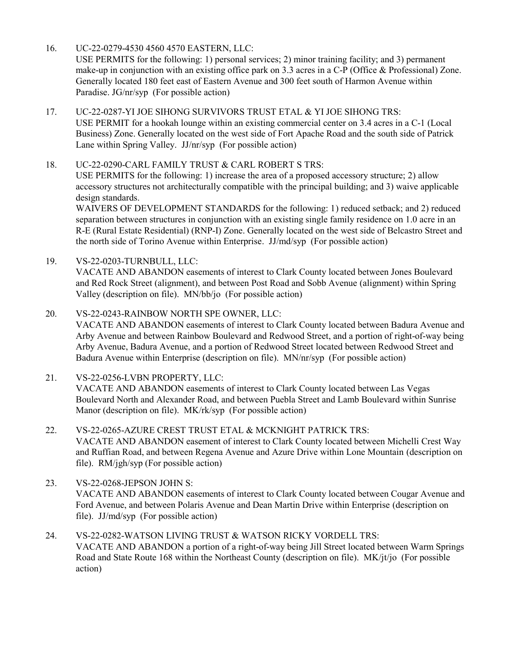16. UC-22-0279-4530 4560 4570 EASTERN, LLC:

USE PERMITS for the following: 1) personal services; 2) minor training facility; and 3) permanent [make-up in conjunction with an existing office park on 3.3 acres in a C-P \(Office & Professional\) Zone.](http://clark.legistar.com/gateway.aspx?m=l&id=/matter.aspx?key=9118)  Generally located 180 feet east of Eastern Avenue and 300 feet south of Harmon Avenue within Paradise. JG/nr/syp (For possible action)

- 17. UC-22-0287-YI JOE SIHONG SURVIVORS TRUST ETAL & YI JOE SIHONG TRS: USE PERMIT for a hookah lounge within an existing commercial center on 3.4 acres in a C-1 (Local [Business\) Zone. Generally located on the west side of Fort Apache Road and the south side of Patrick](http://clark.legistar.com/gateway.aspx?m=l&id=/matter.aspx?key=9119)  Lane within Spring Valley. JJ/nr/syp (For possible action)
- 18. UC-22-0290-CARL FAMILY TRUST & CARL ROBERT S TRS: USE PERMITS for the following: 1) increase the area of a proposed accessory structure; 2) allow accessory structures not architecturally compatible with the principal building; and 3) waive applicable design standards.

WAIVERS OF DEVELOPMENT STANDARDS for the following: 1) reduced setback; and 2) reduced separation between structures in conjunction with an existing single family residence on 1.0 acre in an [R-E \(Rural Estate Residential\) \(RNP-I\) Zone. Generally located on the west side of Belcastro Street and](http://clark.legistar.com/gateway.aspx?m=l&id=/matter.aspx?key=9120)  the north side of Torino Avenue within Enterprise. JJ/md/syp (For possible action)

- 19. VS-22-0203-TURNBULL, LLC: VACATE AND ABANDON easements of interest to Clark County located between Jones Boulevard [and Red Rock Street \(alignment\), and between Post Road and Sobb Avenue \(alignment\) within Spring](http://clark.legistar.com/gateway.aspx?m=l&id=/matter.aspx?key=9121)  Valley (description on file). MN/bb/jo (For possible action)
- 20. VS-22-0243-RAINBOW NORTH SPE OWNER, LLC: [VACATE AND ABANDON easements of interest to Clark County located between Badura Avenue and](http://clark.legistar.com/gateway.aspx?m=l&id=/matter.aspx?key=9122)  Arby Avenue and between Rainbow Boulevard and Redwood Street, and a portion of right-of-way being Arby Avenue, Badura Avenue, and a portion of Redwood Street located between Redwood Street and Badura Avenue within Enterprise (description on file). MN/nr/syp (For possible action)
- 21. VS-22-0256-LVBN PROPERTY, LLC: VACATE AND ABANDON easements of interest to Clark County located between Las Vegas [Boulevard North and Alexander Road, and between Puebla Street and Lamb Boulevard within Sunrise](http://clark.legistar.com/gateway.aspx?m=l&id=/matter.aspx?key=9123)  Manor (description on file). MK/rk/syp (For possible action)
- 22. VS-22-0265-AZURE CREST TRUST ETAL & MCKNIGHT PATRICK TRS: VACATE AND ABANDON easement of interest to Clark County located between Michelli Crest Way [and Ruffian Road, and between Regena Avenue and Azure Drive within Lone Mountain \(description on](http://clark.legistar.com/gateway.aspx?m=l&id=/matter.aspx?key=9124)  file). RM/jgh/syp (For possible action)
- 23. VS-22-0268-JEPSON JOHN S: [VACATE AND ABANDON easements of interest to Clark County located between Cougar Avenue and](http://clark.legistar.com/gateway.aspx?m=l&id=/matter.aspx?key=9125)  Ford Avenue, and between Polaris Avenue and Dean Martin Drive within Enterprise (description on file). JJ/md/syp (For possible action)
- 24. VS-22-0282-WATSON LIVING TRUST & WATSON RICKY VORDELL TRS: [VACATE AND ABANDON a portion of a right-of-way being Jill Street located between Warm Springs](http://clark.legistar.com/gateway.aspx?m=l&id=/matter.aspx?key=9126)  Road and State Route 168 within the Northeast County (description on file). MK/jt/jo (For possible action)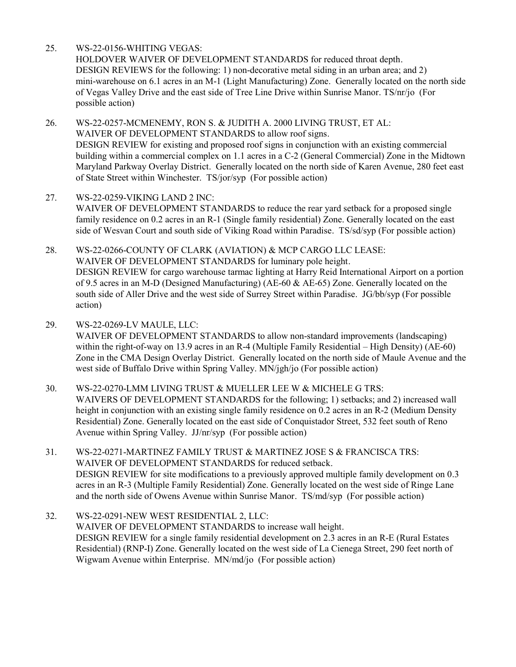### 25. WS-22-0156-WHITING VEGAS:

HOLDOVER WAIVER OF DEVELOPMENT STANDARDS for reduced throat depth. DESIGN REVIEWS for the following: 1) non-decorative metal siding in an urban area; and 2) [mini-warehouse on 6.1 acres in an M-1 \(Light Manufacturing\) Zone. Generally located on the north side](http://clark.legistar.com/gateway.aspx?m=l&id=/matter.aspx?key=9127)  of Vegas Valley Drive and the east side of Tree Line Drive within Sunrise Manor. TS/nr/jo (For possible action)

26. WS-22-0257-MCMENEMY, RON S. & JUDITH A. 2000 LIVING TRUST, ET AL: WAIVER OF DEVELOPMENT STANDARDS to allow roof signs. DESIGN REVIEW for existing and proposed roof signs in conjunction with an existing commercial [building within a commercial complex on 1.1 acres in a C-2 \(General Commercial\) Zone in the Midtown](http://clark.legistar.com/gateway.aspx?m=l&id=/matter.aspx?key=9128)  Maryland Parkway Overlay District. Generally located on the north side of Karen Avenue, 280 feet east of State Street within Winchester. TS/jor/syp (For possible action)

- 27. WS-22-0259-VIKING LAND 2 INC: WAIVER OF DEVELOPMENT STANDARDS to reduce the rear yard setback for a proposed single [family residence on 0.2 acres in an R-1 \(Single family residential\) Zone. Generally located on the east](http://clark.legistar.com/gateway.aspx?m=l&id=/matter.aspx?key=9129)  side of Wesvan Court and south side of Viking Road within Paradise. TS/sd/syp (For possible action)
- 28. WS-22-0266-COUNTY OF CLARK (AVIATION) & MCP CARGO LLC LEASE: WAIVER OF DEVELOPMENT STANDARDS for luminary pole height. [DESIGN REVIEW for cargo warehouse tarmac lighting at Harry Reid International Airport on a portion](http://clark.legistar.com/gateway.aspx?m=l&id=/matter.aspx?key=9130)  of 9.5 acres in an M-D (Designed Manufacturing) (AE-60 & AE-65) Zone. Generally located on the south side of Aller Drive and the west side of Surrey Street within Paradise. JG/bb/syp (For possible action)
- 29. WS-22-0269-LV MAULE, LLC:

WAIVER OF DEVELOPMENT STANDARDS to allow non-standard improvements (landscaping) within the right-of-way on 13.9 acres in an R-4 (Multiple Family Residential – High Density) (AE-60) [Zone in the CMA Design Overlay District. Generally located on the north side of Maule Avenue and the](http://clark.legistar.com/gateway.aspx?m=l&id=/matter.aspx?key=9131)  west side of Buffalo Drive within Spring Valley. MN/jgh/jo (For possible action)

- 30. WS-22-0270-LMM LIVING TRUST & MUELLER LEE W & MICHELE G TRS: WAIVERS OF DEVELOPMENT STANDARDS for the following; 1) setbacks; and 2) increased wall height in conjunction with an existing single family residence on 0.2 acres in an R-2 (Medium Density Residential) Zone. Generally located on the east side of Conquistador Street, 532 feet south of Reno Avenue within Spring Valley. JJ/nr/syp (For possible action)
- 31. WS-22-0271-MARTINEZ FAMILY TRUST & MARTINEZ JOSE S & FRANCISCA TRS: WAIVER OF DEVELOPMENT STANDARDS for reduced setback. [DESIGN REVIEW for site modifications to a previously approved multiple family development on 0.3](http://clark.legistar.com/gateway.aspx?m=l&id=/matter.aspx?key=9133)  acres in an R-3 (Multiple Family Residential) Zone. Generally located on the west side of Ringe Lane and the north side of Owens Avenue within Sunrise Manor. TS/md/syp (For possible action)

32. WS-22-0291-NEW WEST RESIDENTIAL 2, LLC: WAIVER OF DEVELOPMENT STANDARDS to increase wall height. DESIGN REVIEW for a single family residential development on 2.3 acres in an R-E (Rural Estates [Residential\) \(RNP-I\) Zone. Generally located on the west side of La Cienega Street, 290 feet north of](http://clark.legistar.com/gateway.aspx?m=l&id=/matter.aspx?key=9134)  Wigwam Avenue within Enterprise. MN/md/jo (For possible action)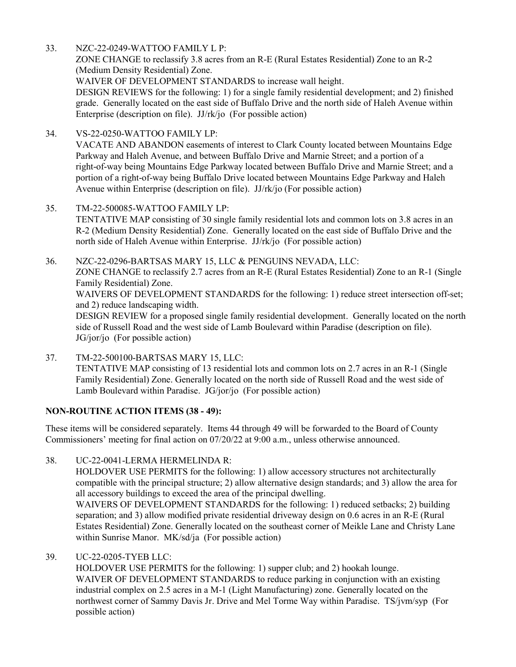33. NZC-22-0249-WATTOO FAMILY L P:

ZONE CHANGE to reclassify 3.8 acres from an R-E (Rural Estates Residential) Zone to an R-2 (Medium Density Residential) Zone.

WAIVER OF DEVELOPMENT STANDARDS to increase wall height.

[DESIGN REVIEWS for the following: 1\) for a single family residential development; and 2\) finished](http://clark.legistar.com/gateway.aspx?m=l&id=/matter.aspx?key=9135)  grade. Generally located on the east side of Buffalo Drive and the north side of Haleh Avenue within Enterprise (description on file). JJ/rk/jo (For possible action)

- 34. VS-22-0250-WATTOO FAMILY LP: VACATE AND ABANDON easements of interest to Clark County located between Mountains Edge Parkway and Haleh Avenue, and between Buffalo Drive and Marnie Street; and a portion of a [right-of-way being Mountains Edge Parkway located between Buffalo Drive and Marnie Street; and a](http://clark.legistar.com/gateway.aspx?m=l&id=/matter.aspx?key=9136)  portion of a right-of-way being Buffalo Drive located between Mountains Edge Parkway and Haleh Avenue within Enterprise (description on file). JJ/rk/jo (For possible action)
- 35. TM-22-500085-WATTOO FAMILY LP: [TENTATIVE MAP consisting of 30 single family residential lots and common lots on 3.8 acres in an](http://clark.legistar.com/gateway.aspx?m=l&id=/matter.aspx?key=9137)  R-2 (Medium Density Residential) Zone. Generally located on the east side of Buffalo Drive and the north side of Haleh Avenue within Enterprise. JJ/rk/jo (For possible action)
- 36. NZC-22-0296-BARTSAS MARY 15, LLC & PENGUINS NEVADA, LLC: ZONE CHANGE to reclassify 2.7 acres from an R-E (Rural Estates Residential) Zone to an R-1 (Single Family Residential) Zone. WAIVERS OF DEVELOPMENT STANDARDS for the following: 1) reduce street intersection off-set; and 2) reduce landscaping width. [DESIGN REVIEW for a proposed single family residential development. Generally located on the north](http://clark.legistar.com/gateway.aspx?m=l&id=/matter.aspx?key=9138)

side of Russell Road and the west side of Lamb Boulevard within Paradise (description on file). JG/jor/jo (For possible action)

37. TM-22-500100-BARTSAS MARY 15, LLC: [TENTATIVE MAP consisting of 13 residential lots and common lots on 2.7 acres in an R-1 \(Single](http://clark.legistar.com/gateway.aspx?m=l&id=/matter.aspx?key=9139)  Family Residential) Zone. Generally located on the north side of Russell Road and the west side of Lamb Boulevard within Paradise. JG/jor/jo (For possible action)

## **NON-ROUTINE ACTION ITEMS (38 - 49):**

These items will be considered separately. Items 44 through 49 will be forwarded to the Board of County Commissioners' meeting for final action on 07/20/22 at 9:00 a.m., unless otherwise announced.

38. UC-22-0041-LERMA HERMELINDA R:

HOLDOVER USE PERMITS for the following: 1) allow accessory structures not architecturally [compatible with the principal structure; 2\) allow alternative design standards; and 3\) allow the area for](http://clark.legistar.com/gateway.aspx?m=l&id=/matter.aspx?key=9140)  all accessory buildings to exceed the area of the principal dwelling.

WAIVERS OF DEVELOPMENT STANDARDS for the following: 1) reduced setbacks; 2) building separation; and 3) allow modified private residential driveway design on 0.6 acres in an R-E (Rural Estates Residential) Zone. Generally located on the southeast corner of Meikle Lane and Christy Lane within Sunrise Manor. MK/sd/ja (For possible action)

### 39. UC-22-0205-TYEB LLC:

HOLDOVER USE PERMITS for the following: 1) supper club; and 2) hookah lounge. WAIVER OF DEVELOPMENT STANDARDS to reduce parking in conjunction with an existing industrial complex on 2.5 acres in a M-1 (Light Manufacturing) zone. Generally located on the [northwest corner of Sammy Davis Jr. Drive and Mel Torme Way within Paradise. TS/jvm/syp \(For](http://clark.legistar.com/gateway.aspx?m=l&id=/matter.aspx?key=9141)  possible action)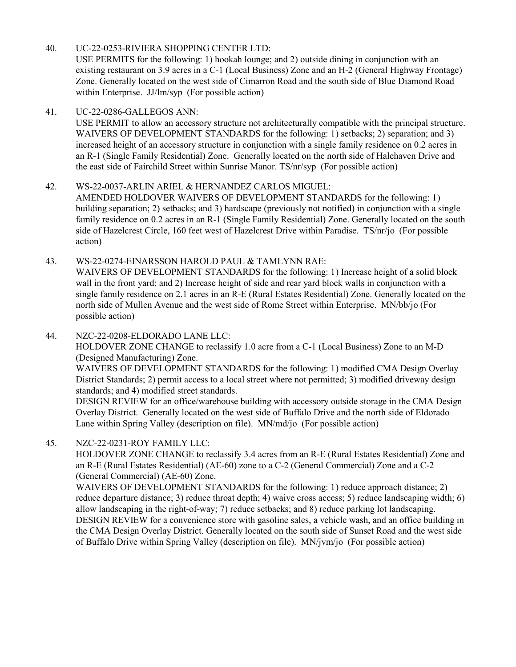### 40. UC-22-0253-RIVIERA SHOPPING CENTER LTD:

USE PERMITS for the following: 1) hookah lounge; and 2) outside dining in conjunction with an [existing restaurant on 3.9 acres in a C-1 \(Local Business\) Zone and an H-2 \(General Highway Frontage\)](http://clark.legistar.com/gateway.aspx?m=l&id=/matter.aspx?key=9142)  Zone. Generally located on the west side of Cimarron Road and the south side of Blue Diamond Road within Enterprise. JJ/lm/syp (For possible action)

### 41. UC-22-0286-GALLEGOS ANN:

[USE PERMIT to allow an accessory structure not architecturally compatible with the principal structure.](http://clark.legistar.com/gateway.aspx?m=l&id=/matter.aspx?key=9143)  WAIVERS OF DEVELOPMENT STANDARDS for the following: 1) setbacks; 2) separation; and 3) increased height of an accessory structure in conjunction with a single family residence on 0.2 acres in an R-1 (Single Family Residential) Zone. Generally located on the north side of Halehaven Drive and the east side of Fairchild Street within Sunrise Manor. TS/nr/syp (For possible action)

### 42. WS-22-0037-ARLIN ARIEL & HERNANDEZ CARLOS MIGUEL:

AMENDED HOLDOVER WAIVERS OF DEVELOPMENT STANDARDS for the following: 1) building separation; 2) setbacks; and 3) hardscape (previously not notified) in conjunction with a single [family residence on 0.2 acres in an R-1 \(Single Family Residential\) Zone. Generally located on the south](http://clark.legistar.com/gateway.aspx?m=l&id=/matter.aspx?key=9144)  side of Hazelcrest Circle, 160 feet west of Hazelcrest Drive within Paradise. TS/nr/jo (For possible action)

43. WS-22-0274-EINARSSON HAROLD PAUL & TAMLYNN RAE: WAIVERS OF DEVELOPMENT STANDARDS for the following: 1) Increase height of a solid block

wall in the front yard; and 2) Increase height of side and rear yard block walls in conjunction with a [single family residence on 2.1 acres in an R-E \(Rural Estates Residential\) Zone. Generally located on the](http://clark.legistar.com/gateway.aspx?m=l&id=/matter.aspx?key=9145)  north side of Mullen Avenue and the west side of Rome Street within Enterprise. MN/bb/jo (For possible action)

# 44. NZC-22-0208-ELDORADO LANE LLC:

HOLDOVER ZONE CHANGE to reclassify 1.0 acre from a C-1 (Local Business) Zone to an M-D (Designed Manufacturing) Zone.

WAIVERS OF DEVELOPMENT STANDARDS for the following: 1) modified CMA Design Overlay District Standards; 2) permit access to a local street where not permitted; 3) modified driveway design standards; and 4) modified street standards.

[DESIGN REVIEW for an office/warehouse building with accessory outside storage in the CMA Design](http://clark.legistar.com/gateway.aspx?m=l&id=/matter.aspx?key=9146)  Overlay District. Generally located on the west side of Buffalo Drive and the north side of Eldorado Lane within Spring Valley (description on file). MN/md/jo (For possible action)

# 45. NZC-22-0231-ROY FAMILY LLC:

HOLDOVER ZONE CHANGE to reclassify 3.4 acres from an R-E (Rural Estates Residential) Zone and an R-E (Rural Estates Residential) (AE-60) zone to a C-2 (General Commercial) Zone and a C-2 (General Commercial) (AE-60) Zone.

WAIVERS OF DEVELOPMENT STANDARDS for the following: 1) reduce approach distance; 2) [reduce departure distance; 3\) reduce throat depth; 4\) waive cross access; 5\) reduce landscaping width; 6\)](http://clark.legistar.com/gateway.aspx?m=l&id=/matter.aspx?key=9147)  allow landscaping in the right-of-way; 7) reduce setbacks; and 8) reduce parking lot landscaping. DESIGN REVIEW for a convenience store with gasoline sales, a vehicle wash, and an office building in the CMA Design Overlay District. Generally located on the south side of Sunset Road and the west side of Buffalo Drive within Spring Valley (description on file). MN/jvm/jo (For possible action)